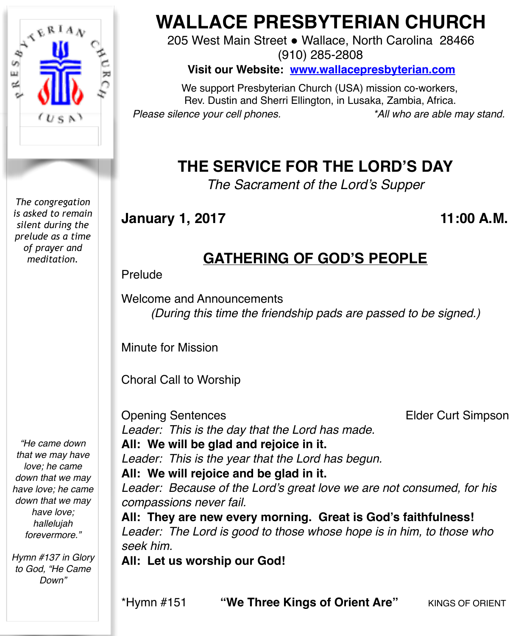

*The congregation is asked to remain silent during the prelude as a time of prayer and meditation.*

*"He came down that we may have love; he came down that we may have love; he came down that we may have love; hallelujah forevermore."*

*Hymn #137 in Glory to God, "He Came Down"*

# **WALLACE PRESBYTERIAN CHURCH**

205 West Main Street . Wallace, North Carolina 28466 (910) 285-2808

**Visit our Website: [www.wallacepresbyterian.com](http://www.wallacepresbyterian.com)**

 We support Presbyterian Church (USA) mission co-workers, Rev. Dustin and Sherri Ellington, in Lusaka, Zambia, Africa. *Please silence your cell phones. \*All who are able may stand.*

## **THE SERVICE FOR THE LORD'S DAY**

*The Sacrament of the Lord's Supper*

**January 1, 2017 11:00 A.M.**

## **GATHERING OF GOD'S PEOPLE**

Prelude

Welcome and Announcements *(During this time the friendship pads are passed to be signed.)*

Minute for Mission

Choral Call to Worship

Opening Sentences Elder Curt Simpson *Leader: This is the day that the Lord has made.* **All: We will be glad and rejoice in it.** *Leader: This is the year that the Lord has begun.* **All: We will rejoice and be glad in it.** *Leader: Because of the Lord's great love we are not consumed, for his compassions never fail.*

**All: They are new every morning. Great is God's faithfulness!** *Leader: The Lord is good to those whose hope is in him, to those who seek him.*

**All: Let us worship our God!**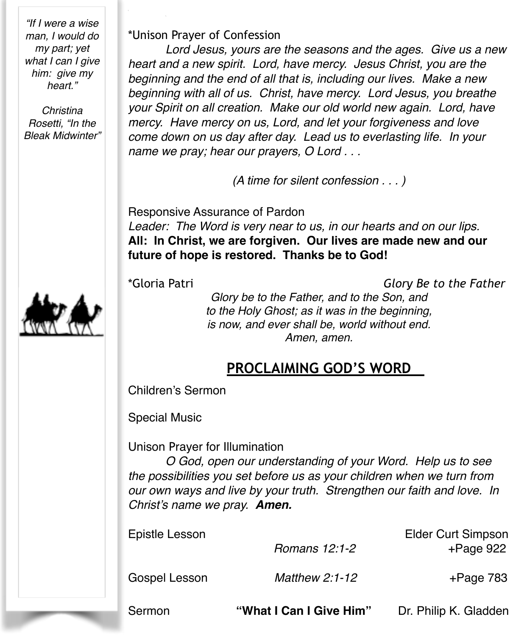*"If I were a wise man, I would do my part; yet what I can I give him: give my heart."*

*Christina Rosetti, "In the Bleak Midwinter"*



\*Unison Prayer of Confession

*Lord Jesus, yours are the seasons and the ages. Give us a new heart and a new spirit. Lord, have mercy. Jesus Christ, you are the beginning and the end of all that is, including our lives. Make a new beginning with all of us. Christ, have mercy. Lord Jesus, you breathe your Spirit on all creation. Make our old world new again. Lord, have mercy. Have mercy on us, Lord, and let your forgiveness and love come down on us day after day. Lead us to everlasting life. In your name we pray; hear our prayers, O Lord . . .*

*(A time for silent confession . . . )*

Responsive Assurance of Pardon *Leader: The Word is very near to us, in our hearts and on our lips.* **All: In Christ, we are forgiven. Our lives are made new and our future of hope is restored. Thanks be to God!**

\*Gloria Patri *Glory Be to the Father*

*Glory be to the Father, and to the Son, and to the Holy Ghost; as it was in the beginning, is now, and ever shall be, world without end. Amen, amen.*

## **PROCLAIMING GOD'S WORD**

Children's Sermon

Special Music

Unison Prayer for Illumination

*O God, open our understanding of your Word. Help us to see the possibilities you set before us as your children when we turn from our own ways and live by your truth. Strengthen our faith and love. In Christ's name we pray. Amen.*

| Sermon         | "What I Can I Give Him" | Dr. Philip K. Gladden                     |
|----------------|-------------------------|-------------------------------------------|
| Gospel Lesson  | <b>Matthew 2:1-12</b>   | $+$ Page 783                              |
| Epistle Lesson | Romans 12:1-2           | <b>Elder Curt Simpson</b><br>$+$ Page 922 |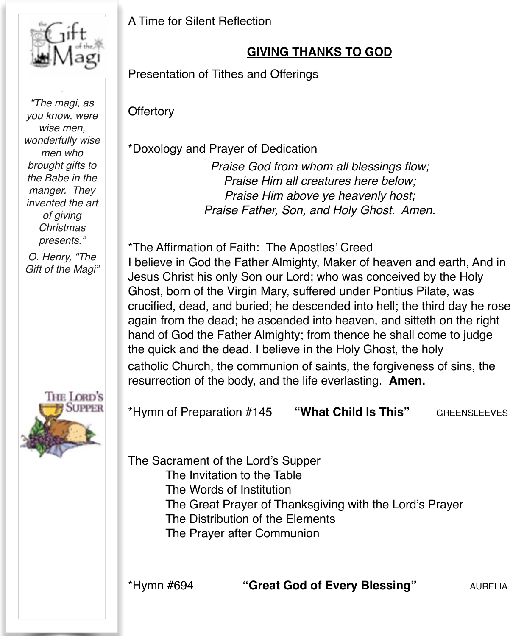

*"The magi, as you know, were wise men, wonderfully wise men who brought gifts to the Babe in the manger. They invented the art of giving Christmas presents."*

*O. Henry, "The Gift of the Magi"*



A Time for Silent Reflection

### **GIVING THANKS TO GOD**

Presentation of Tithes and Offerings

**Offertory** 

\*Doxology and Prayer of Dedication

*Praise God from whom all blessings flow; Praise Him all creatures here below; Praise Him above ye heavenly host; Praise Father, Son, and Holy Ghost. Amen.*

\*The Affirmation of Faith: The Apostles' Creed I believe in God the Father Almighty, Maker of heaven and earth, And in Jesus Christ his only Son our Lord; who was conceived by the Holy Ghost, born of the Virgin Mary, suffered under Pontius Pilate, was crucified, dead, and buried; he descended into hell; the third day he rose again from the dead; he ascended into heaven, and sitteth on the right hand of God the Father Almighty; from thence he shall come to judge the quick and the dead. I believe in the Holy Ghost, the holy catholic Church, the communion of saints, the forgiveness of sins, the resurrection of the body, and the life everlasting. **Amen.**

\*Hymn of Preparation #145 **"What Child Is This"** GREENSLEEVES

The Sacrament of the Lord's Supper The Invitation to the Table The Words of Institution The Great Prayer of Thanksgiving with the Lord's Prayer The Distribution of the Elements The Prayer after Communion

\*Hymn #694 **"Great God of Every Blessing"** AURELIA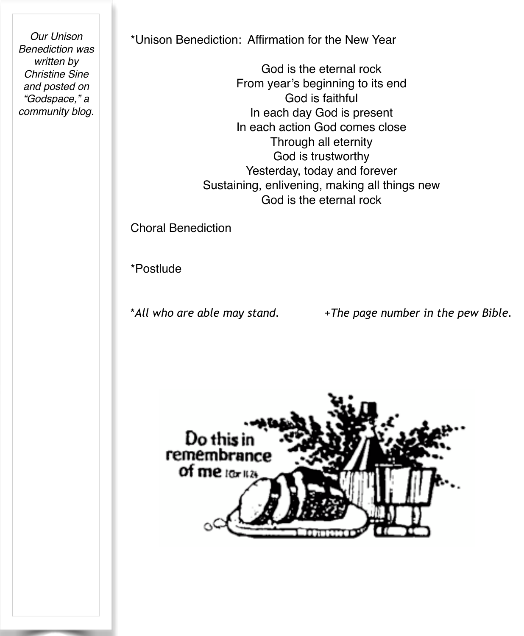*Our Unison Benediction was written by Christine Sine and posted on "Godspace," a community blog.*

\*Unison Benediction: Affirmation for the New Year

God is the eternal rock From year's beginning to its end God is faithful In each day God is present In each action God comes close Through all eternity God is trustworthy Yesterday, today and forever Sustaining, enlivening, making all things new God is the eternal rock

Choral Benediction

\*Postlude

\**All who are able may stand.* +*The page number in the pew Bible.*

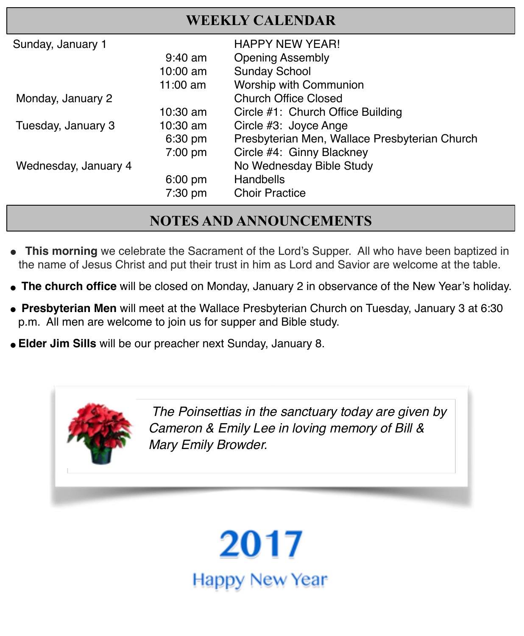| Sunday, January 1    |                   | <b>HAPPY NEW YEAR!</b>                        |
|----------------------|-------------------|-----------------------------------------------|
|                      | $9:40$ am         | <b>Opening Assembly</b>                       |
|                      | $10:00$ am        | <b>Sunday School</b>                          |
|                      | 11:00 am          | Worship with Communion                        |
| Monday, January 2    |                   | <b>Church Office Closed</b>                   |
|                      | $10:30$ am        | Circle #1: Church Office Building             |
| Tuesday, January 3   | $10:30$ am        | Circle #3: Joyce Ange                         |
|                      | 6:30 pm           | Presbyterian Men, Wallace Presbyterian Church |
|                      | 7:00 pm           | Circle #4: Ginny Blackney                     |
| Wednesday, January 4 |                   | No Wednesday Bible Study                      |
|                      | $6:00 \text{ pm}$ | <b>Handbells</b>                              |
|                      | 7:30 pm           | <b>Choir Practice</b>                         |

### **NOTES AND ANNOUNCEMENTS**

- This morning we celebrate the Sacrament of the Lord's Supper. All who have been baptized in the name of Jesus Christ and put their trust in him as Lord and Savior are welcome at the table.
- **The church office** will be closed on Monday, January 2 in observance of the New Year's holiday.
- " **Presbyterian Men** will meet at the Wallace Presbyterian Church on Tuesday, January 3 at 6:30 p.m. All men are welcome to join us for supper and Bible study.
- "**Elder Jim Sills** will be our preacher next Sunday, January 8.

*The Poinsettias in the sanctuary today are given by Cameron & Emily Lee in loving memory of Bill & Mary Emily Browder.*